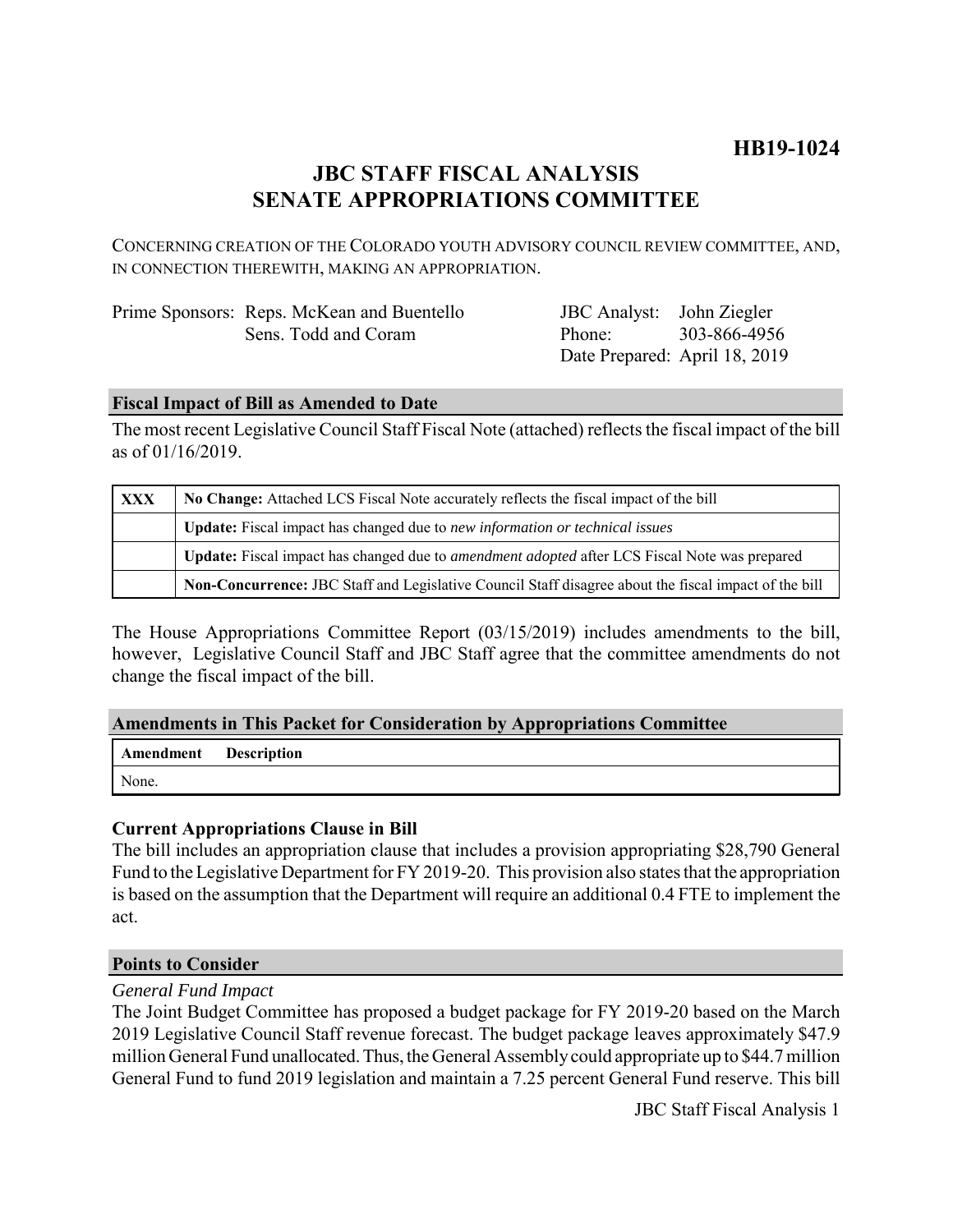# **HB19-1024**

## **JBC STAFF FISCAL ANALYSIS SENATE APPROPRIATIONS COMMITTEE**

CONCERNING CREATION OF THE COLORADO YOUTH ADVISORY COUNCIL REVIEW COMMITTEE, AND, IN CONNECTION THEREWITH, MAKING AN APPROPRIATION.

| Prime Sponsors: Reps. McKean and Buentello |
|--------------------------------------------|
| Sens. Todd and Coram                       |

JBC Analyst: Phone: Date Prepared: April 18, 2019 John Ziegler 303-866-4956

### **Fiscal Impact of Bill as Amended to Date**

The most recent Legislative Council Staff Fiscal Note (attached) reflects the fiscal impact of the bill as of 01/16/2019.

| <b>XXX</b> | No Change: Attached LCS Fiscal Note accurately reflects the fiscal impact of the bill                 |  |
|------------|-------------------------------------------------------------------------------------------------------|--|
|            | <b>Update:</b> Fiscal impact has changed due to new information or technical issues                   |  |
|            | Update: Fiscal impact has changed due to <i>amendment adopted</i> after LCS Fiscal Note was prepared  |  |
|            | Non-Concurrence: JBC Staff and Legislative Council Staff disagree about the fiscal impact of the bill |  |

The House Appropriations Committee Report (03/15/2019) includes amendments to the bill, however, Legislative Council Staff and JBC Staff agree that the committee amendments do not change the fiscal impact of the bill.

### **Amendments in This Packet for Consideration by Appropriations Committee**

| <b>Amendment</b> Description |  |
|------------------------------|--|
| None.                        |  |

### **Current Appropriations Clause in Bill**

The bill includes an appropriation clause that includes a provision appropriating \$28,790 General Fund to the Legislative Department for FY 2019-20. This provision also states that the appropriation is based on the assumption that the Department will require an additional 0.4 FTE to implement the act.

#### **Points to Consider**

#### *General Fund Impact*

The Joint Budget Committee has proposed a budget package for FY 2019-20 based on the March 2019 Legislative Council Staff revenue forecast. The budget package leaves approximately \$47.9 million General Fund unallocated. Thus, the General Assembly could appropriate up to \$44.7 million General Fund to fund 2019 legislation and maintain a 7.25 percent General Fund reserve. This bill